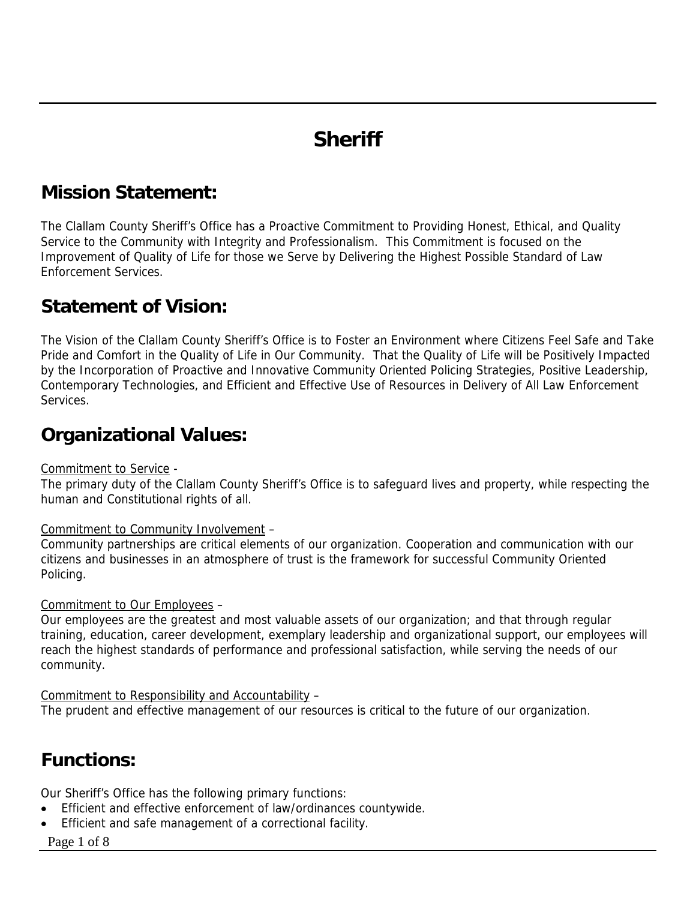# **Sheriff**

## **Mission Statement:**

The Clallam County Sheriff's Office has a Proactive Commitment to Providing Honest, Ethical, and Quality Service to the Community with Integrity and Professionalism. This Commitment is focused on the Improvement of Quality of Life for those we Serve by Delivering the Highest Possible Standard of Law Enforcement Services.

#### **Statement of Vision:**

The Vision of the Clallam County Sheriff's Office is to Foster an Environment where Citizens Feel Safe and Take Pride and Comfort in the Quality of Life in Our Community. That the Quality of Life will be Positively Impacted by the Incorporation of Proactive and Innovative Community Oriented Policing Strategies, Positive Leadership, Contemporary Technologies, and Efficient and Effective Use of Resources in Delivery of All Law Enforcement Services.

#### **Organizational Values:**

#### Commitment to Service -

The primary duty of the Clallam County Sheriff's Office is to safeguard lives and property, while respecting the human and Constitutional rights of all.

#### Commitment to Community Involvement –

Community partnerships are critical elements of our organization. Cooperation and communication with our citizens and businesses in an atmosphere of trust is the framework for successful Community Oriented Policing.

#### Commitment to Our Employees –

Our employees are the greatest and most valuable assets of our organization; and that through regular training, education, career development, exemplary leadership and organizational support, our employees will reach the highest standards of performance and professional satisfaction, while serving the needs of our community.

Commitment to Responsibility and Accountability –

The prudent and effective management of our resources is critical to the future of our organization.

## **Functions:**

Our Sheriff's Office has the following primary functions:

- Efficient and effective enforcement of law/ordinances countywide.
- Efficient and safe management of a correctional facility.
- Page 1 of 8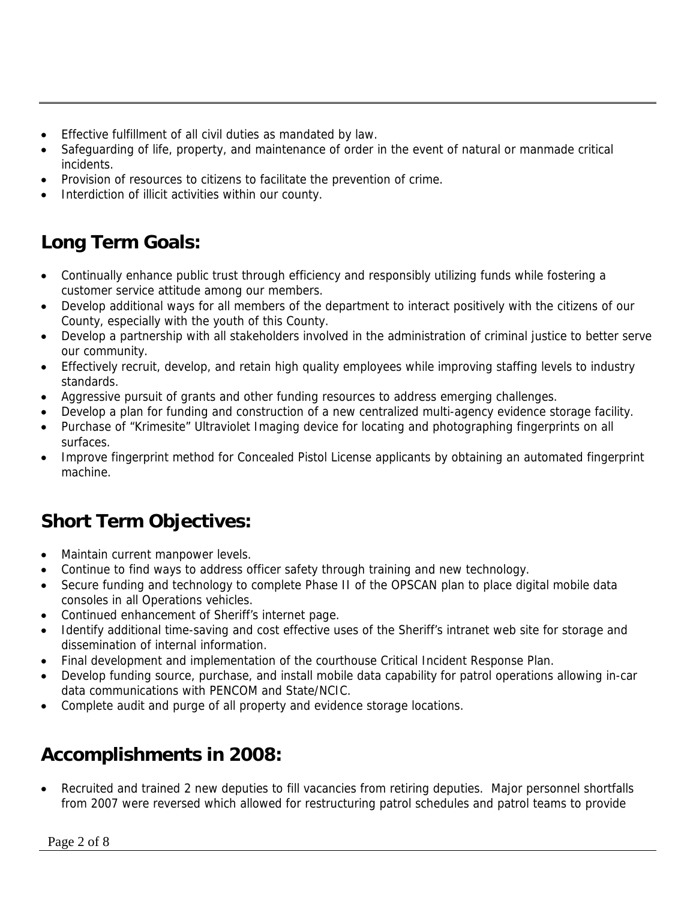- Effective fulfillment of all civil duties as mandated by law.
- Safeguarding of life, property, and maintenance of order in the event of natural or manmade critical incidents.
- Provision of resources to citizens to facilitate the prevention of crime.
- Interdiction of illicit activities within our county.

# **Long Term Goals:**

- Continually enhance public trust through efficiency and responsibly utilizing funds while fostering a customer service attitude among our members.
- Develop additional ways for all members of the department to interact positively with the citizens of our County, especially with the youth of this County.
- Develop a partnership with all stakeholders involved in the administration of criminal justice to better serve our community.
- Effectively recruit, develop, and retain high quality employees while improving staffing levels to industry standards.
- Aggressive pursuit of grants and other funding resources to address emerging challenges.
- Develop a plan for funding and construction of a new centralized multi-agency evidence storage facility.
- Purchase of "Krimesite" Ultraviolet Imaging device for locating and photographing fingerprints on all surfaces.
- Improve fingerprint method for Concealed Pistol License applicants by obtaining an automated fingerprint machine.

# **Short Term Objectives:**

- Maintain current manpower levels.
- Continue to find ways to address officer safety through training and new technology.
- Secure funding and technology to complete Phase II of the OPSCAN plan to place digital mobile data consoles in all Operations vehicles.
- Continued enhancement of Sheriff's internet page.
- Identify additional time-saving and cost effective uses of the Sheriff's intranet web site for storage and dissemination of internal information.
- Final development and implementation of the courthouse Critical Incident Response Plan.
- Develop funding source, purchase, and install mobile data capability for patrol operations allowing in-car data communications with PENCOM and State/NCIC.
- Complete audit and purge of all property and evidence storage locations.

# **Accomplishments in 2008:**

• Recruited and trained 2 new deputies to fill vacancies from retiring deputies. Major personnel shortfalls from 2007 were reversed which allowed for restructuring patrol schedules and patrol teams to provide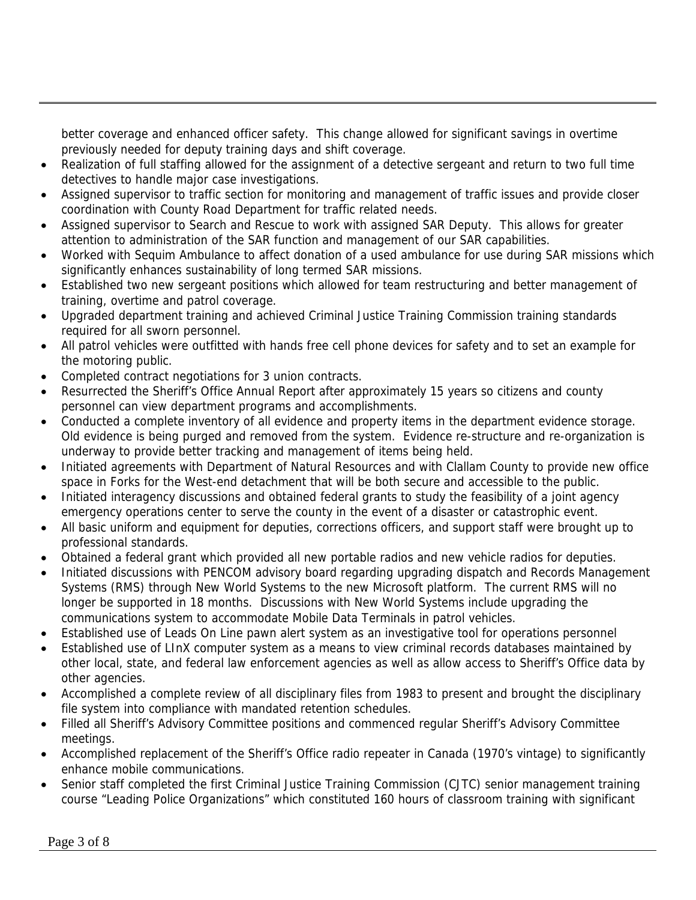better coverage and enhanced officer safety. This change allowed for significant savings in overtime previously needed for deputy training days and shift coverage.

- Realization of full staffing allowed for the assignment of a detective sergeant and return to two full time detectives to handle major case investigations.
- Assigned supervisor to traffic section for monitoring and management of traffic issues and provide closer coordination with County Road Department for traffic related needs.
- Assigned supervisor to Search and Rescue to work with assigned SAR Deputy. This allows for greater attention to administration of the SAR function and management of our SAR capabilities.
- Worked with Sequim Ambulance to affect donation of a used ambulance for use during SAR missions which significantly enhances sustainability of long termed SAR missions.
- Established two new sergeant positions which allowed for team restructuring and better management of training, overtime and patrol coverage.
- Upgraded department training and achieved Criminal Justice Training Commission training standards required for all sworn personnel.
- All patrol vehicles were outfitted with hands free cell phone devices for safety and to set an example for the motoring public.
- Completed contract negotiations for 3 union contracts.
- Resurrected the Sheriff's Office Annual Report after approximately 15 years so citizens and county personnel can view department programs and accomplishments.
- Conducted a complete inventory of all evidence and property items in the department evidence storage. Old evidence is being purged and removed from the system. Evidence re-structure and re-organization is underway to provide better tracking and management of items being held.
- Initiated agreements with Department of Natural Resources and with Clallam County to provide new office space in Forks for the West-end detachment that will be both secure and accessible to the public.
- Initiated interagency discussions and obtained federal grants to study the feasibility of a joint agency emergency operations center to serve the county in the event of a disaster or catastrophic event.
- All basic uniform and equipment for deputies, corrections officers, and support staff were brought up to professional standards.
- Obtained a federal grant which provided all new portable radios and new vehicle radios for deputies.
- Initiated discussions with PENCOM advisory board regarding upgrading dispatch and Records Management Systems (RMS) through New World Systems to the new Microsoft platform. The current RMS will no longer be supported in 18 months. Discussions with New World Systems include upgrading the communications system to accommodate Mobile Data Terminals in patrol vehicles.
- Established use of Leads On Line pawn alert system as an investigative tool for operations personnel
- Established use of LInX computer system as a means to view criminal records databases maintained by other local, state, and federal law enforcement agencies as well as allow access to Sheriff's Office data by other agencies.
- Accomplished a complete review of all disciplinary files from 1983 to present and brought the disciplinary file system into compliance with mandated retention schedules.
- Filled all Sheriff's Advisory Committee positions and commenced regular Sheriff's Advisory Committee meetings.
- Accomplished replacement of the Sheriff's Office radio repeater in Canada (1970's vintage) to significantly enhance mobile communications.
- Senior staff completed the first Criminal Justice Training Commission (CJTC) senior management training course "Leading Police Organizations" which constituted 160 hours of classroom training with significant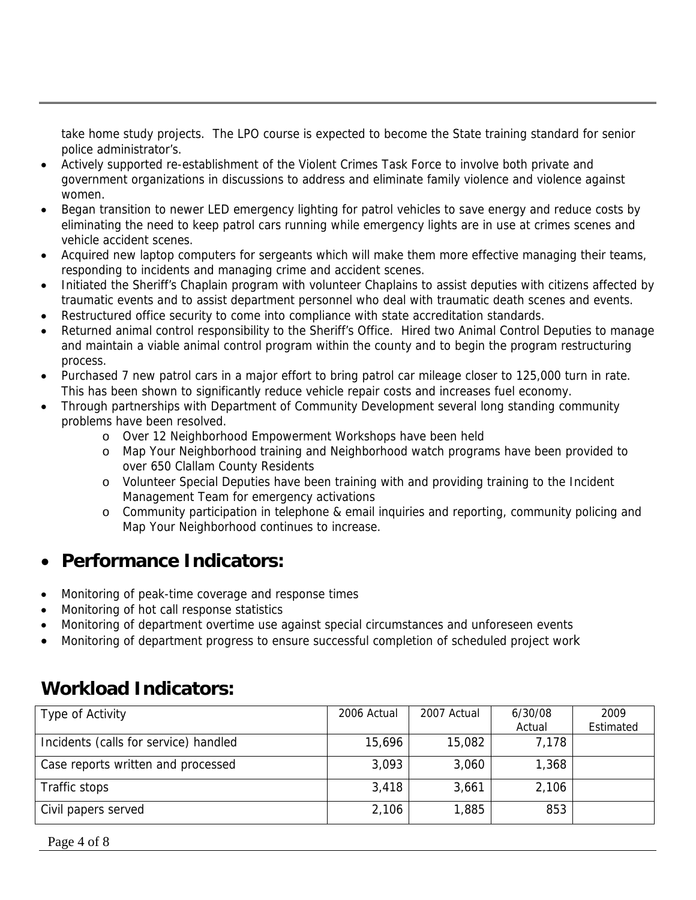take home study projects. The LPO course is expected to become the State training standard for senior police administrator's.

- Actively supported re-establishment of the Violent Crimes Task Force to involve both private and government organizations in discussions to address and eliminate family violence and violence against women.
- Began transition to newer LED emergency lighting for patrol vehicles to save energy and reduce costs by eliminating the need to keep patrol cars running while emergency lights are in use at crimes scenes and vehicle accident scenes.
- Acquired new laptop computers for sergeants which will make them more effective managing their teams, responding to incidents and managing crime and accident scenes.
- Initiated the Sheriff's Chaplain program with volunteer Chaplains to assist deputies with citizens affected by traumatic events and to assist department personnel who deal with traumatic death scenes and events.
- Restructured office security to come into compliance with state accreditation standards.
- Returned animal control responsibility to the Sheriff's Office. Hired two Animal Control Deputies to manage and maintain a viable animal control program within the county and to begin the program restructuring process.
- Purchased 7 new patrol cars in a major effort to bring patrol car mileage closer to 125,000 turn in rate. This has been shown to significantly reduce vehicle repair costs and increases fuel economy.
- Through partnerships with Department of Community Development several long standing community problems have been resolved.
	- o Over 12 Neighborhood Empowerment Workshops have been held
	- o Map Your Neighborhood training and Neighborhood watch programs have been provided to over 650 Clallam County Residents
	- o Volunteer Special Deputies have been training with and providing training to the Incident Management Team for emergency activations
	- o Community participation in telephone & email inquiries and reporting, community policing and Map Your Neighborhood continues to increase.

## • **Performance Indicators:**

- Monitoring of peak-time coverage and response times
- Monitoring of hot call response statistics
- Monitoring of department overtime use against special circumstances and unforeseen events
- Monitoring of department progress to ensure successful completion of scheduled project work

## **Workload Indicators:**

| Type of Activity                      | 2006 Actual | 2007 Actual | 6/30/08 | 2009      |
|---------------------------------------|-------------|-------------|---------|-----------|
|                                       |             |             | Actual  | Estimated |
| Incidents (calls for service) handled | 15,696      | 15,082      | 7,178   |           |
| Case reports written and processed    | 3,093       | 3,060       | 1,368   |           |
| Traffic stops                         | 3,418       | 3,661       | 2,106   |           |
| Civil papers served                   | 2,106       | 1,885       | 853     |           |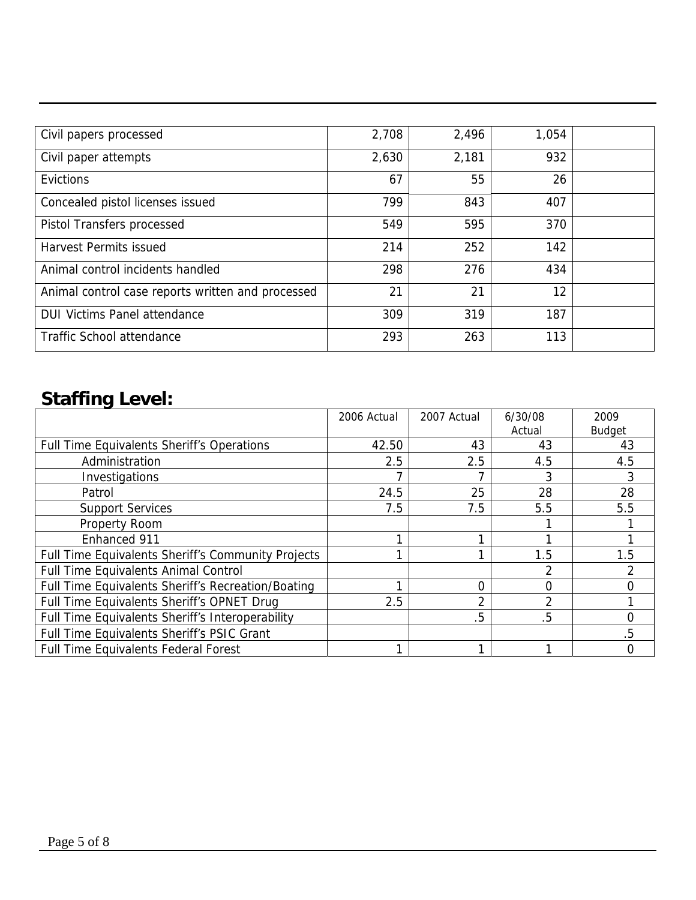| Civil papers processed                            | 2,708 | 2,496 | 1,054 |  |
|---------------------------------------------------|-------|-------|-------|--|
| Civil paper attempts                              | 2,630 | 2,181 | 932   |  |
| Evictions                                         | 67    | 55    | 26    |  |
| Concealed pistol licenses issued                  | 799   | 843   | 407   |  |
| Pistol Transfers processed                        | 549   | 595   | 370   |  |
| <b>Harvest Permits issued</b>                     | 214   | 252   | 142   |  |
| Animal control incidents handled                  | 298   | 276   | 434   |  |
| Animal control case reports written and processed | 21    | 21    | 12    |  |
| <b>DUI Victims Panel attendance</b>               | 309   | 319   | 187   |  |
| <b>Traffic School attendance</b>                  | 293   | 263   | 113   |  |

# **Staffing Level:**

|                                                    | 2006 Actual | 2007 Actual | 6/30/08  | 2009          |
|----------------------------------------------------|-------------|-------------|----------|---------------|
|                                                    |             |             | Actual   | <b>Budget</b> |
| <b>Full Time Equivalents Sheriff's Operations</b>  | 42.50       | 43          | 43       | 43            |
| Administration                                     | 2.5         | 2.5         | 4.5      | 4.5           |
| Investigations                                     |             |             | 3        |               |
| Patrol                                             | 24.5        | 25          | 28       | 28            |
| <b>Support Services</b>                            | 7.5         | 7.5         | 5.5      | 5.5           |
| <b>Property Room</b>                               |             |             |          |               |
| Enhanced 911                                       |             |             |          |               |
| Full Time Equivalents Sheriff's Community Projects |             |             | 1.5      | 1.5           |
| <b>Full Time Equivalents Animal Control</b>        |             |             | 2        |               |
| Full Time Equivalents Sheriff's Recreation/Boating |             | 0           | $\Omega$ |               |
| Full Time Equivalents Sheriff's OPNET Drug         | 2.5         | 2           | 2        |               |
| Full Time Equivalents Sheriff's Interoperability   |             | .5          | .5       | ი             |
| Full Time Equivalents Sheriff's PSIC Grant         |             |             |          | 5             |
| Full Time Equivalents Federal Forest               |             |             |          |               |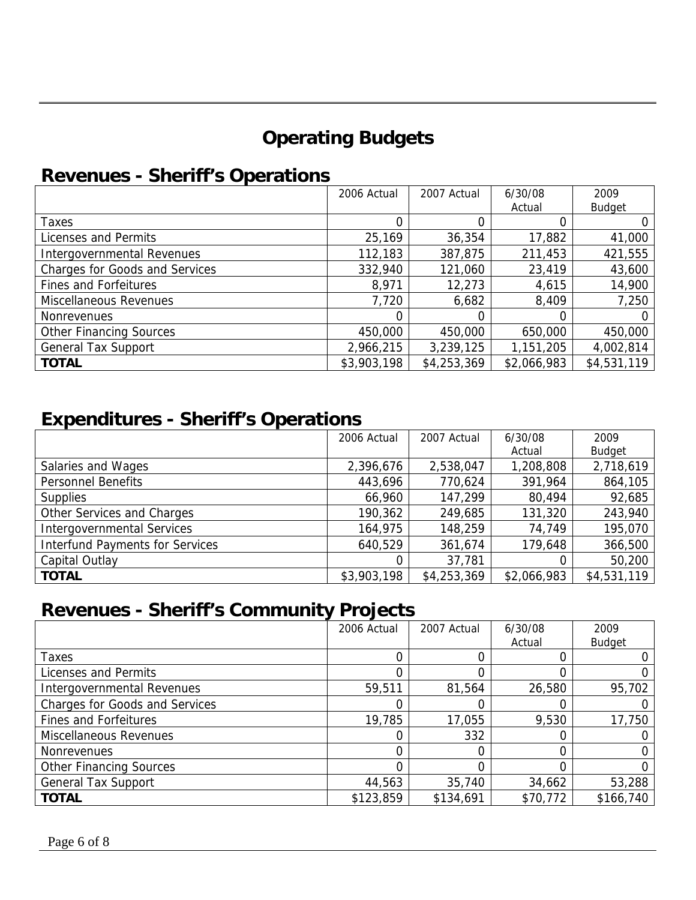# **Operating Budgets**

## **Revenues - Sheriff's Operations**

|                                       | 2006 Actual | 2007 Actual | 6/30/08     | 2009          |
|---------------------------------------|-------------|-------------|-------------|---------------|
|                                       |             |             | Actual      | <b>Budget</b> |
| Taxes                                 |             |             |             |               |
| Licenses and Permits                  | 25,169      | 36,354      | 17,882      | 41,000        |
| Intergovernmental Revenues            | 112,183     | 387,875     | 211,453     | 421,555       |
| <b>Charges for Goods and Services</b> | 332,940     | 121,060     | 23,419      | 43,600        |
| <b>Fines and Forfeitures</b>          | 8,971       | 12,273      | 4,615       | 14,900        |
| Miscellaneous Revenues                | 7,720       | 6,682       | 8,409       | 7,250         |
| <b>Nonrevenues</b>                    |             | 0           |             |               |
| <b>Other Financing Sources</b>        | 450,000     | 450,000     | 650,000     | 450,000       |
| <b>General Tax Support</b>            | 2,966,215   | 3,239,125   | 1,151,205   | 4,002,814     |
| <b>TOTAL</b>                          | \$3,903,198 | \$4,253,369 | \$2,066,983 | \$4,531,119   |

### **Expenditures - Sheriff's Operations**

|                                        | 2006 Actual | 2007 Actual | 6/30/08     | 2009          |
|----------------------------------------|-------------|-------------|-------------|---------------|
|                                        |             |             | Actual      | <b>Budget</b> |
| Salaries and Wages                     | 2,396,676   | 2,538,047   | 1,208,808   | 2,718,619     |
| <b>Personnel Benefits</b>              | 443,696     | 770,624     | 391,964     | 864,105       |
| <b>Supplies</b>                        | 66,960      | 147,299     | 80,494      | 92,685        |
| Other Services and Charges             | 190,362     | 249,685     | 131,320     | 243,940       |
| <b>Intergovernmental Services</b>      | 164,975     | 148,259     | 74,749      | 195,070       |
| <b>Interfund Payments for Services</b> | 640,529     | 361,674     | 179,648     | 366,500       |
| Capital Outlay                         |             | 37,781      |             | 50,200        |
| <b>TOTAL</b>                           | \$3,903,198 | \$4,253,369 | \$2,066,983 | \$4,531,119   |

# **Revenues - Sheriff's Community Projects**

|                                       | 2006 Actual | 2007 Actual | 6/30/08  | 2009          |
|---------------------------------------|-------------|-------------|----------|---------------|
|                                       |             |             | Actual   | <b>Budget</b> |
| Taxes                                 |             |             |          |               |
| Licenses and Permits                  |             |             |          |               |
| Intergovernmental Revenues            | 59,511      | 81,564      | 26,580   | 95,702        |
| <b>Charges for Goods and Services</b> |             |             |          |               |
| <b>Fines and Forfeitures</b>          | 19,785      | 17,055      | 9,530    | 17,750        |
| Miscellaneous Revenues                |             | 332         |          |               |
| Nonrevenues                           |             |             |          |               |
| <b>Other Financing Sources</b>        |             |             |          |               |
| <b>General Tax Support</b>            | 44,563      | 35,740      | 34,662   | 53,288        |
| <b>TOTAL</b>                          | \$123,859   | \$134,691   | \$70,772 | \$166,740     |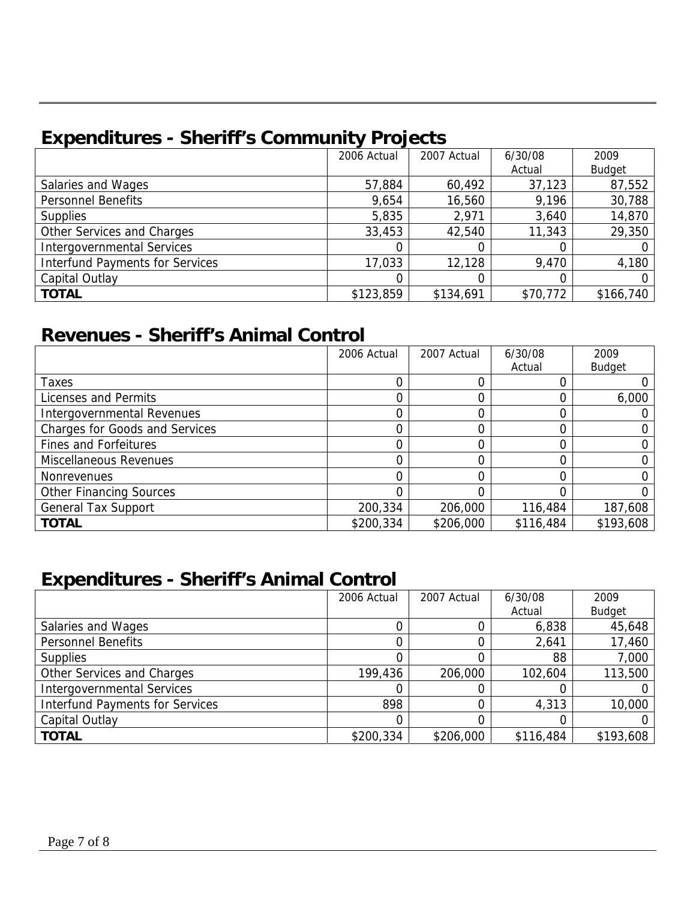# **Expenditures - Sheriff's Community Projects**

|                                        | 2006 Actual | 2007 Actual | 6/30/08  | 2009          |
|----------------------------------------|-------------|-------------|----------|---------------|
|                                        |             |             | Actual   | <b>Budget</b> |
| Salaries and Wages                     | 57,884      | 60,492      | 37,123   | 87,552        |
| <b>Personnel Benefits</b>              | 9,654       | 16,560      | 9,196    | 30,788        |
| <b>Supplies</b>                        | 5,835       | 2,971       | 3,640    | 14,870        |
| Other Services and Charges             | 33,453      | 42,540      | 11,343   | 29,350        |
| <b>Intergovernmental Services</b>      |             |             |          |               |
| <b>Interfund Payments for Services</b> | 17,033      | 12,128      | 9,470    | 4,180         |
| Capital Outlay                         |             |             |          |               |
| <b>TOTAL</b>                           | \$123,859   | \$134,691   | \$70,772 | \$166,740     |

## **Revenues - Sheriff's Animal Control**

|                                | 2006 Actual | 2007 Actual | 6/30/08   | 2009          |
|--------------------------------|-------------|-------------|-----------|---------------|
|                                |             |             | Actual    | <b>Budget</b> |
| Taxes                          |             |             |           |               |
| Licenses and Permits           |             |             |           | 6,000         |
| Intergovernmental Revenues     |             |             |           |               |
| Charges for Goods and Services |             |             |           |               |
| <b>Fines and Forfeitures</b>   |             |             |           |               |
| Miscellaneous Revenues         |             |             |           |               |
| <b>Nonrevenues</b>             |             |             |           |               |
| <b>Other Financing Sources</b> |             |             |           |               |
| <b>General Tax Support</b>     | 200,334     | 206,000     | 116,484   | 187,608       |
| <b>TOTAL</b>                   | \$200,334   | \$206,000   | \$116,484 | \$193,608     |

## **Expenditures - Sheriff's Animal Control**

|                                        | 2006 Actual | 2007 Actual | 6/30/08   | 2009          |
|----------------------------------------|-------------|-------------|-----------|---------------|
|                                        |             |             | Actual    | <b>Budget</b> |
| Salaries and Wages                     |             |             | 6,838     | 45,648        |
| <b>Personnel Benefits</b>              |             |             | 2,641     | 17,460        |
| <b>Supplies</b>                        |             |             | 88        | 7,000         |
| Other Services and Charges             | 199,436     | 206,000     | 102,604   | 113,500       |
| <b>Intergovernmental Services</b>      |             |             |           |               |
| <b>Interfund Payments for Services</b> | 898         |             | 4,313     | 10,000        |
| Capital Outlay                         |             |             |           |               |
| <b>TOTAL</b>                           | \$200,334   | \$206,000   | \$116,484 | \$193,608     |